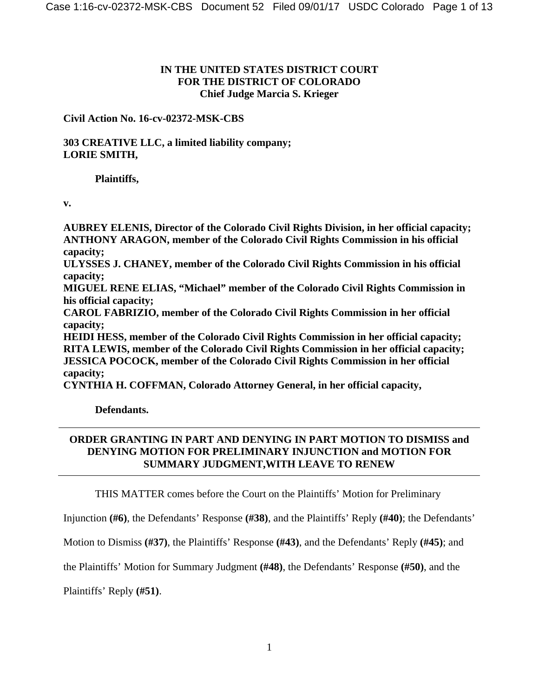## **IN THE UNITED STATES DISTRICT COURT FOR THE DISTRICT OF COLORADO Chief Judge Marcia S. Krieger**

## **Civil Action No. 16-cv-02372-MSK-CBS**

**303 CREATIVE LLC, a limited liability company; LORIE SMITH,** 

 **Plaintiffs,** 

**v.** 

**AUBREY ELENIS, Director of the Colorado Civil Rights Division, in her official capacity; ANTHONY ARAGON, member of the Colorado Civil Rights Commission in his official capacity;** 

**ULYSSES J. CHANEY, member of the Colorado Civil Rights Commission in his official capacity;** 

**MIGUEL RENE ELIAS, "Michael" member of the Colorado Civil Rights Commission in his official capacity;** 

**CAROL FABRIZIO, member of the Colorado Civil Rights Commission in her official capacity;** 

**HEIDI HESS, member of the Colorado Civil Rights Commission in her official capacity; RITA LEWIS, member of the Colorado Civil Rights Commission in her official capacity; JESSICA POCOCK, member of the Colorado Civil Rights Commission in her official capacity;** 

**CYNTHIA H. COFFMAN, Colorado Attorney General, in her official capacity,** 

 **Defendants.** 

# **ORDER GRANTING IN PART AND DENYING IN PART MOTION TO DISMISS and DENYING MOTION FOR PRELIMINARY INJUNCTION and MOTION FOR SUMMARY JUDGMENT,WITH LEAVE TO RENEW**

THIS MATTER comes before the Court on the Plaintiffs' Motion for Preliminary

Injunction **(#6)**, the Defendants' Response **(#38)**, and the Plaintiffs' Reply **(#40)**; the Defendants'

Motion to Dismiss **(#37)**, the Plaintiffs' Response **(#43)**, and the Defendants' Reply **(#45)**; and

the Plaintiffs' Motion for Summary Judgment **(#48)**, the Defendants' Response **(#50)**, and the

Plaintiffs' Reply **(#51)**.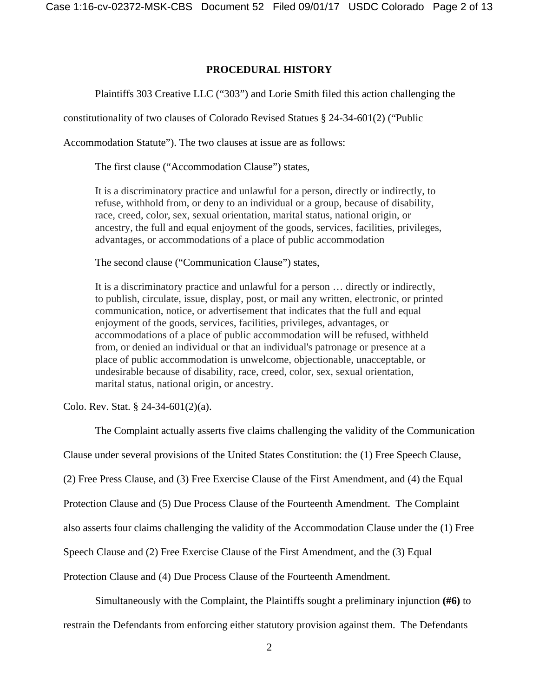## **PROCEDURAL HISTORY**

Plaintiffs 303 Creative LLC ("303") and Lorie Smith filed this action challenging the

constitutionality of two clauses of Colorado Revised Statues § 24-34-601(2) ("Public

Accommodation Statute"). The two clauses at issue are as follows:

The first clause ("Accommodation Clause") states,

It is a discriminatory practice and unlawful for a person, directly or indirectly, to refuse, withhold from, or deny to an individual or a group, because of disability, race, creed, color, sex, sexual orientation, marital status, national origin, or ancestry, the full and equal enjoyment of the goods, services, facilities, privileges, advantages, or accommodations of a place of public accommodation

The second clause ("Communication Clause") states,

It is a discriminatory practice and unlawful for a person … directly or indirectly, to publish, circulate, issue, display, post, or mail any written, electronic, or printed communication, notice, or advertisement that indicates that the full and equal enjoyment of the goods, services, facilities, privileges, advantages, or accommodations of a place of public accommodation will be refused, withheld from, or denied an individual or that an individual's patronage or presence at a place of public accommodation is unwelcome, objectionable, unacceptable, or undesirable because of disability, race, creed, color, sex, sexual orientation, marital status, national origin, or ancestry.

Colo. Rev. Stat. § 24-34-601(2)(a).

The Complaint actually asserts five claims challenging the validity of the Communication

Clause under several provisions of the United States Constitution: the (1) Free Speech Clause,

(2) Free Press Clause, and (3) Free Exercise Clause of the First Amendment, and (4) the Equal

Protection Clause and (5) Due Process Clause of the Fourteenth Amendment. The Complaint

also asserts four claims challenging the validity of the Accommodation Clause under the (1) Free

Speech Clause and (2) Free Exercise Clause of the First Amendment, and the (3) Equal

Protection Clause and (4) Due Process Clause of the Fourteenth Amendment.

Simultaneously with the Complaint, the Plaintiffs sought a preliminary injunction **(#6)** to restrain the Defendants from enforcing either statutory provision against them. The Defendants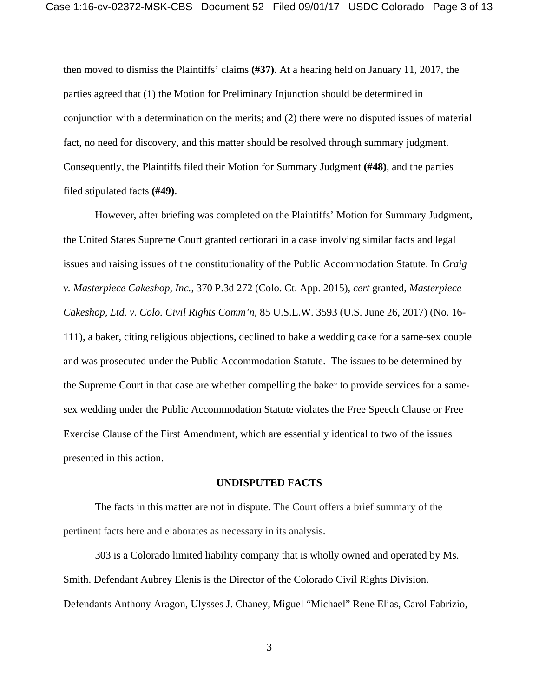then moved to dismiss the Plaintiffs' claims **(#37)**. At a hearing held on January 11, 2017, the parties agreed that (1) the Motion for Preliminary Injunction should be determined in conjunction with a determination on the merits; and (2) there were no disputed issues of material fact, no need for discovery, and this matter should be resolved through summary judgment. Consequently, the Plaintiffs filed their Motion for Summary Judgment **(#48)**, and the parties filed stipulated facts **(#49)**.

However, after briefing was completed on the Plaintiffs' Motion for Summary Judgment, the United States Supreme Court granted certiorari in a case involving similar facts and legal issues and raising issues of the constitutionality of the Public Accommodation Statute. In *Craig v. Masterpiece Cakeshop, Inc.*, 370 P.3d 272 (Colo. Ct. App. 2015), *cert* granted, *Masterpiece Cakeshop, Ltd. v. Colo. Civil Rights Comm'n*, 85 U.S.L.W. 3593 (U.S. June 26, 2017) (No. 16- 111), a baker, citing religious objections, declined to bake a wedding cake for a same-sex couple and was prosecuted under the Public Accommodation Statute. The issues to be determined by the Supreme Court in that case are whether compelling the baker to provide services for a samesex wedding under the Public Accommodation Statute violates the Free Speech Clause or Free Exercise Clause of the First Amendment, which are essentially identical to two of the issues presented in this action.

#### **UNDISPUTED FACTS**

The facts in this matter are not in dispute. The Court offers a brief summary of the pertinent facts here and elaborates as necessary in its analysis.

303 is a Colorado limited liability company that is wholly owned and operated by Ms. Smith. Defendant Aubrey Elenis is the Director of the Colorado Civil Rights Division. Defendants Anthony Aragon, Ulysses J. Chaney, Miguel "Michael" Rene Elias, Carol Fabrizio,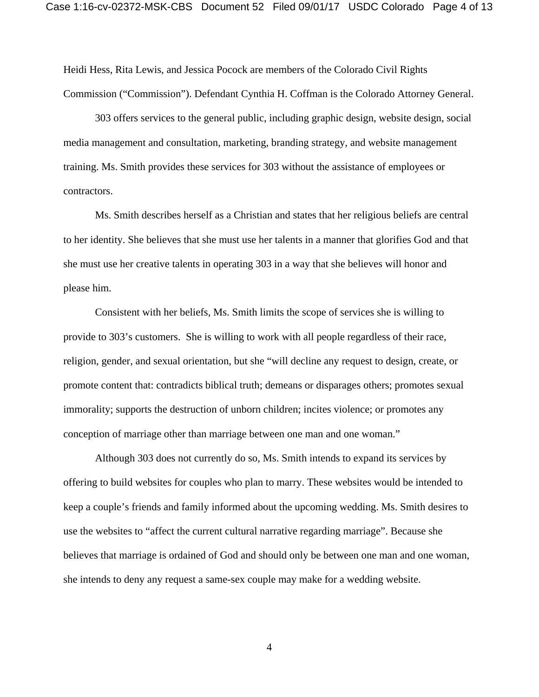Heidi Hess, Rita Lewis, and Jessica Pocock are members of the Colorado Civil Rights Commission ("Commission"). Defendant Cynthia H. Coffman is the Colorado Attorney General.

303 offers services to the general public, including graphic design, website design, social media management and consultation, marketing, branding strategy, and website management training. Ms. Smith provides these services for 303 without the assistance of employees or contractors.

Ms. Smith describes herself as a Christian and states that her religious beliefs are central to her identity. She believes that she must use her talents in a manner that glorifies God and that she must use her creative talents in operating 303 in a way that she believes will honor and please him.

Consistent with her beliefs, Ms. Smith limits the scope of services she is willing to provide to 303's customers. She is willing to work with all people regardless of their race, religion, gender, and sexual orientation, but she "will decline any request to design, create, or promote content that: contradicts biblical truth; demeans or disparages others; promotes sexual immorality; supports the destruction of unborn children; incites violence; or promotes any conception of marriage other than marriage between one man and one woman."

Although 303 does not currently do so, Ms. Smith intends to expand its services by offering to build websites for couples who plan to marry. These websites would be intended to keep a couple's friends and family informed about the upcoming wedding. Ms. Smith desires to use the websites to "affect the current cultural narrative regarding marriage". Because she believes that marriage is ordained of God and should only be between one man and one woman, she intends to deny any request a same-sex couple may make for a wedding website.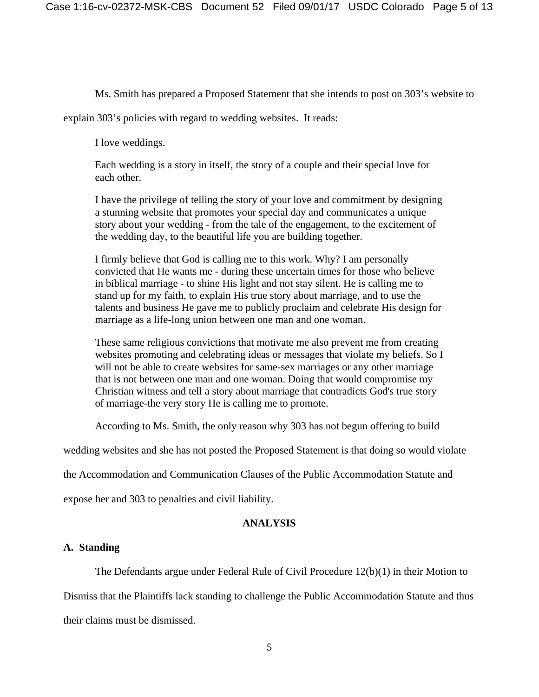Ms. Smith has prepared a Proposed Statement that she intends to post on 303's website to

explain 303's policies with regard to wedding websites. It reads:

I love weddings.

Each wedding is a story in itself, the story of a couple and their special love for each other.

I have the privilege of telling the story of your love and commitment by designing a stunning website that promotes your special day and communicates a unique story about your wedding - from the tale of the engagement, to the excitement of the wedding day, to the beautiful life you are building together.

I firmly believe that God is calling me to this work. Why? I am personally convicted that He wants me - during these uncertain times for those who believe in biblical marriage - to shine His light and not stay silent. He is calling me to stand up for my faith, to explain His true story about marriage, and to use the talents and business He gave me to publicly proclaim and celebrate His design for marriage as a life-long union between one man and one woman.

These same religious convictions that motivate me also prevent me from creating websites promoting and celebrating ideas or messages that violate my beliefs. So I will not be able to create websites for same-sex marriages or any other marriage that is not between one man and one woman. Doing that would compromise my Christian witness and tell a story about marriage that contradicts God's true story of marriage-the very story He is calling me to promote.

According to Ms. Smith, the only reason why 303 has not begun offering to build

wedding websites and she has not posted the Proposed Statement is that doing so would violate

the Accommodation and Communication Clauses of the Public Accommodation Statute and

expose her and 303 to penalties and civil liability.

### **ANALYSIS**

#### **A. Standing**

The Defendants argue under Federal Rule of Civil Procedure 12(b)(1) in their Motion to

Dismiss that the Plaintiffs lack standing to challenge the Public Accommodation Statute and thus their claims must be dismissed.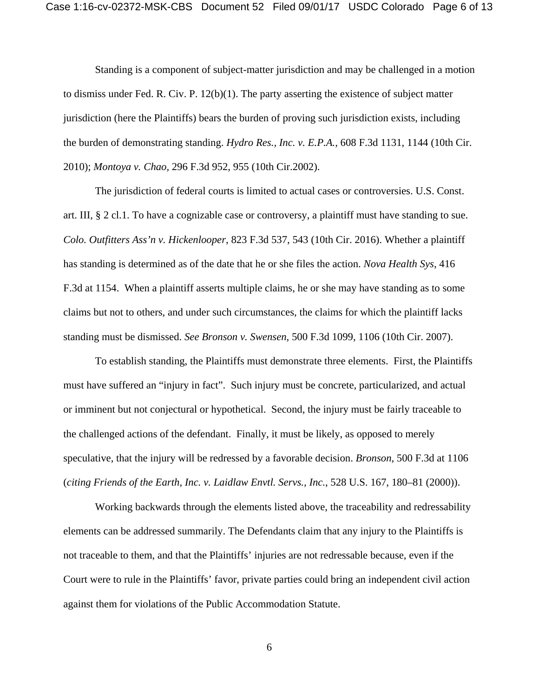Standing is a component of subject-matter jurisdiction and may be challenged in a motion to dismiss under Fed. R. Civ. P. 12(b)(1). The party asserting the existence of subject matter jurisdiction (here the Plaintiffs) bears the burden of proving such jurisdiction exists, including the burden of demonstrating standing. *Hydro Res., Inc. v. E.P.A.,* 608 F.3d 1131, 1144 (10th Cir. 2010); *Montoya v. Chao,* 296 F.3d 952, 955 (10th Cir.2002).

The jurisdiction of federal courts is limited to actual cases or controversies. U.S. Const. art. III, § 2 cl.1. To have a cognizable case or controversy, a plaintiff must have standing to sue. *Colo. Outfitters Ass'n v. Hickenlooper*, 823 F.3d 537, 543 (10th Cir. 2016). Whether a plaintiff has standing is determined as of the date that he or she files the action. *Nova Health Sys*, 416 F.3d at 1154. When a plaintiff asserts multiple claims, he or she may have standing as to some claims but not to others, and under such circumstances, the claims for which the plaintiff lacks standing must be dismissed. *See Bronson v. Swensen*, 500 F.3d 1099, 1106 (10th Cir. 2007).

To establish standing, the Plaintiffs must demonstrate three elements. First, the Plaintiffs must have suffered an "injury in fact". Such injury must be concrete, particularized, and actual or imminent but not conjectural or hypothetical. Second, the injury must be fairly traceable to the challenged actions of the defendant. Finally, it must be likely, as opposed to merely speculative, that the injury will be redressed by a favorable decision. *Bronson*, 500 F.3d at 1106 (*citing Friends of the Earth, Inc. v. Laidlaw Envtl. Servs., Inc.*, 528 U.S. 167, 180–81 (2000)).

 Working backwards through the elements listed above, the traceability and redressability elements can be addressed summarily. The Defendants claim that any injury to the Plaintiffs is not traceable to them, and that the Plaintiffs' injuries are not redressable because, even if the Court were to rule in the Plaintiffs' favor, private parties could bring an independent civil action against them for violations of the Public Accommodation Statute.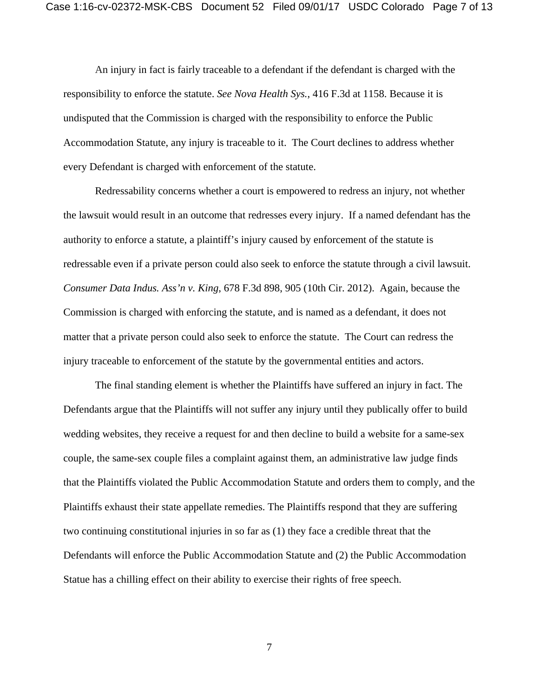An injury in fact is fairly traceable to a defendant if the defendant is charged with the responsibility to enforce the statute. *See Nova Health Sys.*, 416 F.3d at 1158. Because it is undisputed that the Commission is charged with the responsibility to enforce the Public Accommodation Statute, any injury is traceable to it. The Court declines to address whether every Defendant is charged with enforcement of the statute.

Redressability concerns whether a court is empowered to redress an injury, not whether the lawsuit would result in an outcome that redresses every injury. If a named defendant has the authority to enforce a statute, a plaintiff's injury caused by enforcement of the statute is redressable even if a private person could also seek to enforce the statute through a civil lawsuit. *Consumer Data Indus. Ass'n v. King*, 678 F.3d 898, 905 (10th Cir. 2012). Again, because the Commission is charged with enforcing the statute, and is named as a defendant, it does not matter that a private person could also seek to enforce the statute. The Court can redress the injury traceable to enforcement of the statute by the governmental entities and actors.

The final standing element is whether the Plaintiffs have suffered an injury in fact. The Defendants argue that the Plaintiffs will not suffer any injury until they publically offer to build wedding websites, they receive a request for and then decline to build a website for a same-sex couple, the same-sex couple files a complaint against them, an administrative law judge finds that the Plaintiffs violated the Public Accommodation Statute and orders them to comply, and the Plaintiffs exhaust their state appellate remedies. The Plaintiffs respond that they are suffering two continuing constitutional injuries in so far as (1) they face a credible threat that the Defendants will enforce the Public Accommodation Statute and (2) the Public Accommodation Statue has a chilling effect on their ability to exercise their rights of free speech.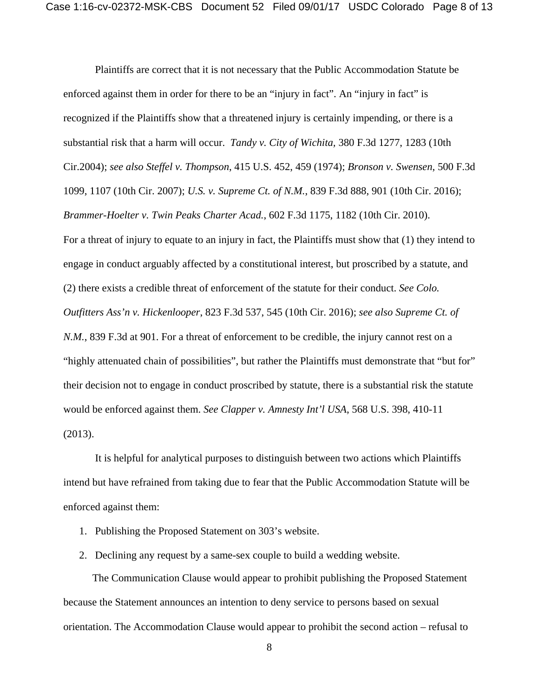Plaintiffs are correct that it is not necessary that the Public Accommodation Statute be enforced against them in order for there to be an "injury in fact". An "injury in fact" is recognized if the Plaintiffs show that a threatened injury is certainly impending, or there is a substantial risk that a harm will occur. *Tandy v. City of Wichita,* 380 F.3d 1277, 1283 (10th Cir.2004); *see also Steffel v. Thompson*, 415 U.S. 452, 459 (1974); *Bronson v. Swensen*, 500 F.3d 1099, 1107 (10th Cir. 2007); *U.S. v. Supreme Ct. of N.M.*, 839 F.3d 888, 901 (10th Cir. 2016); *Brammer-Hoelter v. Twin Peaks Charter Acad.*, 602 F.3d 1175, 1182 (10th Cir. 2010). For a threat of injury to equate to an injury in fact, the Plaintiffs must show that (1) they intend to engage in conduct arguably affected by a constitutional interest, but proscribed by a statute, and (2) there exists a credible threat of enforcement of the statute for their conduct. *See Colo. Outfitters Ass'n v. Hickenlooper*, 823 F.3d 537, 545 (10th Cir. 2016); *see also Supreme Ct. of N.M.*, 839 F.3d at 901. For a threat of enforcement to be credible, the injury cannot rest on a "highly attenuated chain of possibilities", but rather the Plaintiffs must demonstrate that "but for" their decision not to engage in conduct proscribed by statute, there is a substantial risk the statute would be enforced against them. *See Clapper v. Amnesty Int'l USA*, 568 U.S. 398, 410-11 (2013).

It is helpful for analytical purposes to distinguish between two actions which Plaintiffs intend but have refrained from taking due to fear that the Public Accommodation Statute will be enforced against them:

1. Publishing the Proposed Statement on 303's website.

2. Declining any request by a same-sex couple to build a wedding website.

 The Communication Clause would appear to prohibit publishing the Proposed Statement because the Statement announces an intention to deny service to persons based on sexual orientation. The Accommodation Clause would appear to prohibit the second action – refusal to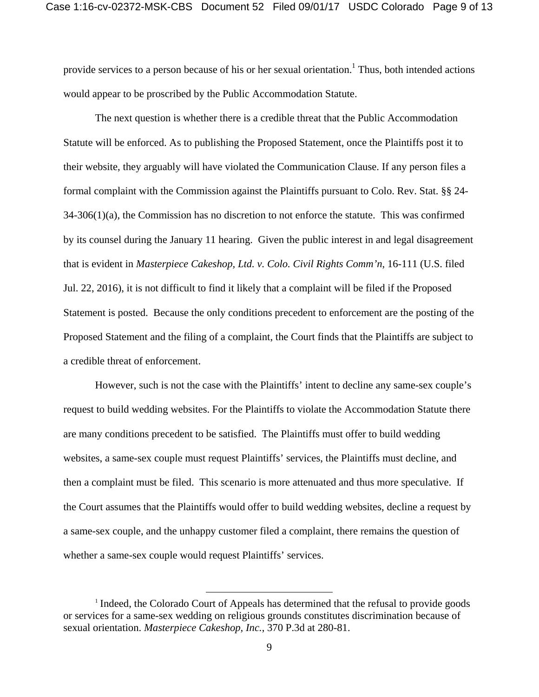provide services to a person because of his or her sexual orientation.<sup>1</sup> Thus, both intended actions would appear to be proscribed by the Public Accommodation Statute.

 The next question is whether there is a credible threat that the Public Accommodation Statute will be enforced. As to publishing the Proposed Statement, once the Plaintiffs post it to their website, they arguably will have violated the Communication Clause. If any person files a formal complaint with the Commission against the Plaintiffs pursuant to Colo. Rev. Stat. §§ 24- 34-306(1)(a), the Commission has no discretion to not enforce the statute. This was confirmed by its counsel during the January 11 hearing. Given the public interest in and legal disagreement that is evident in *Masterpiece Cakeshop, Ltd. v. Colo. Civil Rights Comm'n*, 16-111 (U.S. filed Jul. 22, 2016), it is not difficult to find it likely that a complaint will be filed if the Proposed Statement is posted. Because the only conditions precedent to enforcement are the posting of the Proposed Statement and the filing of a complaint, the Court finds that the Plaintiffs are subject to a credible threat of enforcement.

However, such is not the case with the Plaintiffs' intent to decline any same-sex couple's request to build wedding websites. For the Plaintiffs to violate the Accommodation Statute there are many conditions precedent to be satisfied. The Plaintiffs must offer to build wedding websites, a same-sex couple must request Plaintiffs' services, the Plaintiffs must decline, and then a complaint must be filed. This scenario is more attenuated and thus more speculative. If the Court assumes that the Plaintiffs would offer to build wedding websites, decline a request by a same-sex couple, and the unhappy customer filed a complaint, there remains the question of whether a same-sex couple would request Plaintiffs' services.

 <sup>1</sup> Indeed, the Colorado Court of Appeals has determined that the refusal to provide goods or services for a same-sex wedding on religious grounds constitutes discrimination because of sexual orientation. *Masterpiece Cakeshop, Inc.*, 370 P.3d at 280-81.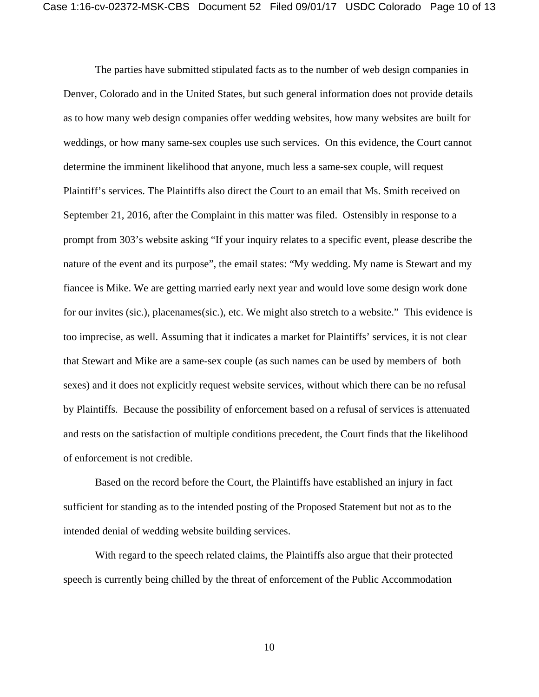The parties have submitted stipulated facts as to the number of web design companies in Denver, Colorado and in the United States, but such general information does not provide details as to how many web design companies offer wedding websites, how many websites are built for weddings, or how many same-sex couples use such services. On this evidence, the Court cannot determine the imminent likelihood that anyone, much less a same-sex couple, will request Plaintiff's services. The Plaintiffs also direct the Court to an email that Ms. Smith received on September 21, 2016, after the Complaint in this matter was filed. Ostensibly in response to a prompt from 303's website asking "If your inquiry relates to a specific event, please describe the nature of the event and its purpose", the email states: "My wedding. My name is Stewart and my fiancee is Mike. We are getting married early next year and would love some design work done for our invites (sic.), placenames (sic.), etc. We might also stretch to a website." This evidence is too imprecise, as well. Assuming that it indicates a market for Plaintiffs' services, it is not clear that Stewart and Mike are a same-sex couple (as such names can be used by members of both sexes) and it does not explicitly request website services, without which there can be no refusal by Plaintiffs. Because the possibility of enforcement based on a refusal of services is attenuated and rests on the satisfaction of multiple conditions precedent, the Court finds that the likelihood of enforcement is not credible.

Based on the record before the Court, the Plaintiffs have established an injury in fact sufficient for standing as to the intended posting of the Proposed Statement but not as to the intended denial of wedding website building services.

With regard to the speech related claims, the Plaintiffs also argue that their protected speech is currently being chilled by the threat of enforcement of the Public Accommodation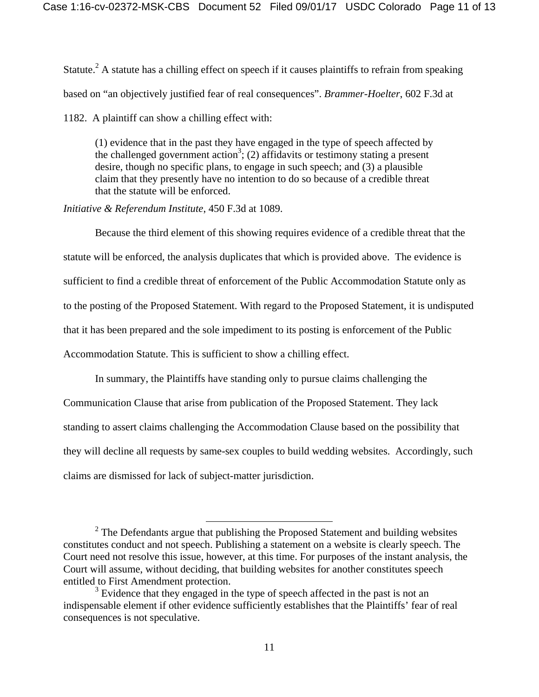Statute.<sup>2</sup> A statute has a chilling effect on speech if it causes plaintiffs to refrain from speaking based on "an objectively justified fear of real consequences". *Brammer-Hoelter*, 602 F.3d at 1182. A plaintiff can show a chilling effect with:

(1) evidence that in the past they have engaged in the type of speech affected by the challenged government action<sup>3</sup>; (2) affidavits or testimony stating a present desire, though no specific plans, to engage in such speech; and (3) a plausible claim that they presently have no intention to do so because of a credible threat that the statute will be enforced.

*Initiative & Referendum Institute*, 450 F.3d at 1089.

Because the third element of this showing requires evidence of a credible threat that the statute will be enforced, the analysis duplicates that which is provided above. The evidence is sufficient to find a credible threat of enforcement of the Public Accommodation Statute only as to the posting of the Proposed Statement. With regard to the Proposed Statement, it is undisputed that it has been prepared and the sole impediment to its posting is enforcement of the Public Accommodation Statute. This is sufficient to show a chilling effect.

In summary, the Plaintiffs have standing only to pursue claims challenging the Communication Clause that arise from publication of the Proposed Statement. They lack standing to assert claims challenging the Accommodation Clause based on the possibility that they will decline all requests by same-sex couples to build wedding websites. Accordingly, such claims are dismissed for lack of subject-matter jurisdiction.

<sup>&</sup>lt;sup>2</sup> The Defendants argue that publishing the Proposed Statement and building websites constitutes conduct and not speech. Publishing a statement on a website is clearly speech. The Court need not resolve this issue, however, at this time. For purposes of the instant analysis, the Court will assume, without deciding, that building websites for another constitutes speech entitled to First Amendment protection.

 $3$  Evidence that they engaged in the type of speech affected in the past is not an indispensable element if other evidence sufficiently establishes that the Plaintiffs' fear of real consequences is not speculative.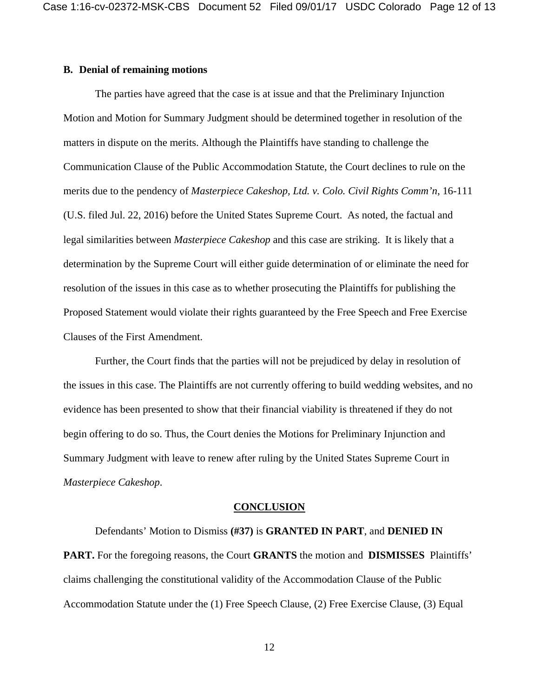### **B. Denial of remaining motions**

The parties have agreed that the case is at issue and that the Preliminary Injunction Motion and Motion for Summary Judgment should be determined together in resolution of the matters in dispute on the merits. Although the Plaintiffs have standing to challenge the Communication Clause of the Public Accommodation Statute, the Court declines to rule on the merits due to the pendency of *Masterpiece Cakeshop, Ltd. v. Colo. Civil Rights Comm'n*, 16-111 (U.S. filed Jul. 22, 2016) before the United States Supreme Court. As noted, the factual and legal similarities between *Masterpiece Cakeshop* and this case are striking. It is likely that a determination by the Supreme Court will either guide determination of or eliminate the need for resolution of the issues in this case as to whether prosecuting the Plaintiffs for publishing the Proposed Statement would violate their rights guaranteed by the Free Speech and Free Exercise Clauses of the First Amendment.

Further, the Court finds that the parties will not be prejudiced by delay in resolution of the issues in this case. The Plaintiffs are not currently offering to build wedding websites, and no evidence has been presented to show that their financial viability is threatened if they do not begin offering to do so. Thus, the Court denies the Motions for Preliminary Injunction and Summary Judgment with leave to renew after ruling by the United States Supreme Court in *Masterpiece Cakeshop*.

#### **CONCLUSION**

 Defendants' Motion to Dismiss **(#37)** is **GRANTED IN PART**, and **DENIED IN PART.** For the foregoing reasons, the Court **GRANTS** the motion and **DISMISSES** Plaintiffs' claims challenging the constitutional validity of the Accommodation Clause of the Public Accommodation Statute under the (1) Free Speech Clause, (2) Free Exercise Clause, (3) Equal